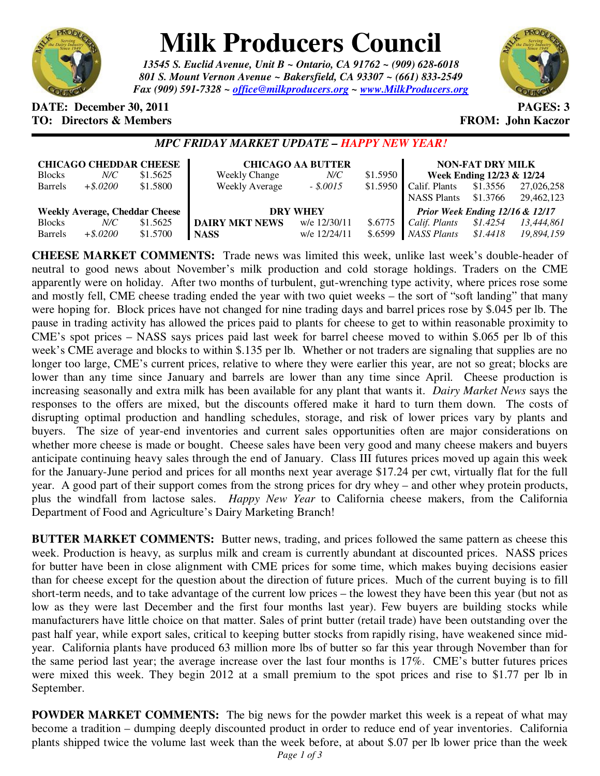

# **Milk Producers Council**

*13545 S. Euclid Avenue, Unit B ~ Ontario, CA 91762 ~ (909) 628-6018 801 S. Mount Vernon Avenue ~ Bakersfield, CA 93307 ~ (661) 833-2549 Fax (909) 591-7328 ~ office@milkproducers.org ~ www.MilkProducers.org*



## **DATE:** December 30, 2011 **PAGES: 3 TO: Directors & Members TO: Piccore All Members FROM: John Kaczor**

# *MPC FRIDAY MARKET UPDATE – HAPPY NEW YEAR!*

| <b>CHICAGO CHEDDAR CHEESE</b>         |             |          | <b>CHICAGO AA BUTTER</b> |              |          | <b>NON-FAT DRY MILK</b>         |          |            |
|---------------------------------------|-------------|----------|--------------------------|--------------|----------|---------------------------------|----------|------------|
| <b>Blocks</b>                         | N/C         | \$1.5625 | <b>Weekly Change</b>     | $N\!C$       | \$1.5950 | Week Ending 12/23 & 12/24       |          |            |
| <b>Barrels</b>                        | $+$ \$.0200 | \$1.5800 | <b>Weekly Average</b>    | $-.50015$    | \$1.5950 | Calif. Plants                   | \$1.3556 | 27,026,258 |
|                                       |             |          |                          |              |          | <b>NASS Plants</b>              | \$1.3766 | 29,462,123 |
| <b>Weekly Average, Cheddar Cheese</b> |             |          | <b>DRY WHEY</b>          |              |          | Prior Week Ending 12/16 & 12/17 |          |            |
| <b>Blocks</b>                         | N/C         | \$1.5625 | <b>DAIRY MKT NEWS</b>    | w/e 12/30/11 | \$.6775  | Calif. Plants                   | \$1.4254 | 13.444.861 |
| <b>Barrels</b>                        | $+$ \$.0200 | \$1.5700 | <b>NASS</b>              | w/e 12/24/11 | \$.6599  | NASS Plants                     | \$1.4418 | 19,894,159 |

**CHEESE MARKET COMMENTS:** Trade news was limited this week, unlike last week's double-header of neutral to good news about November's milk production and cold storage holdings. Traders on the CME apparently were on holiday. After two months of turbulent, gut-wrenching type activity, where prices rose some and mostly fell, CME cheese trading ended the year with two quiet weeks – the sort of "soft landing" that many were hoping for. Block prices have not changed for nine trading days and barrel prices rose by \$.045 per lb. The pause in trading activity has allowed the prices paid to plants for cheese to get to within reasonable proximity to CME's spot prices – NASS says prices paid last week for barrel cheese moved to within \$.065 per lb of this week's CME average and blocks to within \$.135 per lb. Whether or not traders are signaling that supplies are no longer too large, CME's current prices, relative to where they were earlier this year, are not so great; blocks are lower than any time since January and barrels are lower than any time since April. Cheese production is increasing seasonally and extra milk has been available for any plant that wants it. *Dairy Market News* says the responses to the offers are mixed, but the discounts offered make it hard to turn them down. The costs of disrupting optimal production and handling schedules, storage, and risk of lower prices vary by plants and buyers. The size of year-end inventories and current sales opportunities often are major considerations on whether more cheese is made or bought. Cheese sales have been very good and many cheese makers and buyers anticipate continuing heavy sales through the end of January. Class III futures prices moved up again this week for the January-June period and prices for all months next year average \$17.24 per cwt, virtually flat for the full year. A good part of their support comes from the strong prices for dry whey – and other whey protein products, plus the windfall from lactose sales. *Happy New Year* to California cheese makers, from the California Department of Food and Agriculture's Dairy Marketing Branch!

**BUTTER MARKET COMMENTS:** Butter news, trading, and prices followed the same pattern as cheese this week. Production is heavy, as surplus milk and cream is currently abundant at discounted prices. NASS prices for butter have been in close alignment with CME prices for some time, which makes buying decisions easier than for cheese except for the question about the direction of future prices. Much of the current buying is to fill short-term needs, and to take advantage of the current low prices – the lowest they have been this year (but not as low as they were last December and the first four months last year). Few buyers are building stocks while manufacturers have little choice on that matter. Sales of print butter (retail trade) have been outstanding over the past half year, while export sales, critical to keeping butter stocks from rapidly rising, have weakened since midyear. California plants have produced 63 million more lbs of butter so far this year through November than for the same period last year; the average increase over the last four months is 17%. CME's butter futures prices were mixed this week. They begin 2012 at a small premium to the spot prices and rise to \$1.77 per lb in September.

**POWDER MARKET COMMENTS:** The big news for the powder market this week is a repeat of what may become a tradition – dumping deeply discounted product in order to reduce end of year inventories. California plants shipped twice the volume last week than the week before, at about \$.07 per lb lower price than the week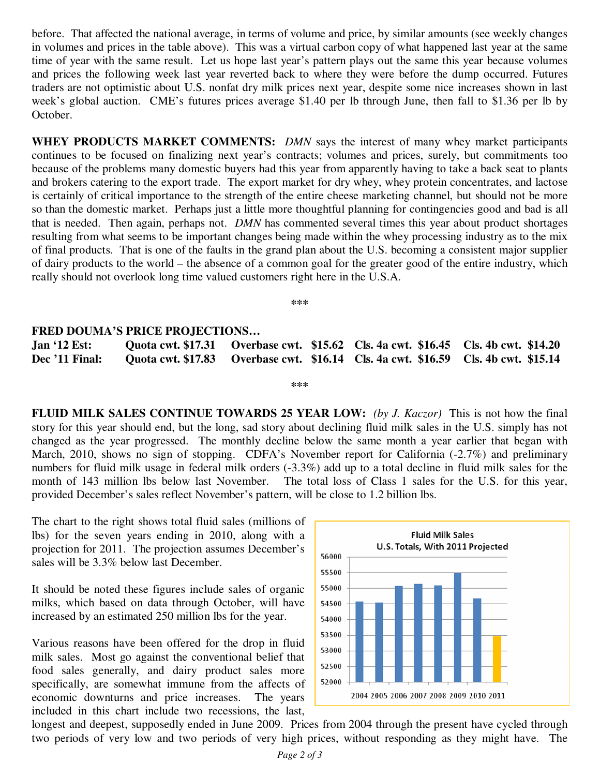before. That affected the national average, in terms of volume and price, by similar amounts (see weekly changes in volumes and prices in the table above). This was a virtual carbon copy of what happened last year at the same time of year with the same result. Let us hope last year's pattern plays out the same this year because volumes and prices the following week last year reverted back to where they were before the dump occurred. Futures traders are not optimistic about U.S. nonfat dry milk prices next year, despite some nice increases shown in last week's global auction. CME's futures prices average \$1.40 per lb through June, then fall to \$1.36 per lb by October.

**WHEY PRODUCTS MARKET COMMENTS:** *DMN* says the interest of many whey market participants continues to be focused on finalizing next year's contracts; volumes and prices, surely, but commitments too because of the problems many domestic buyers had this year from apparently having to take a back seat to plants and brokers catering to the export trade. The export market for dry whey, whey protein concentrates, and lactose is certainly of critical importance to the strength of the entire cheese marketing channel, but should not be more so than the domestic market. Perhaps just a little more thoughtful planning for contingencies good and bad is all that is needed. Then again, perhaps not. *DMN* has commented several times this year about product shortages resulting from what seems to be important changes being made within the whey processing industry as to the mix of final products. That is one of the faults in the grand plan about the U.S. becoming a consistent major supplier of dairy products to the world – the absence of a common goal for the greater good of the entire industry, which really should not overlook long time valued customers right here in the U.S.A.

**\*\*\*** 

### **FRED DOUMA'S PRICE PROJECTIONS…**

**Jan '12 Est: Quota cwt. \$17.31 Overbase cwt. \$15.62 Cls. 4a cwt. \$16.45 Cls. 4b cwt. \$14.20 Dec '11 Final: Quota cwt. \$17.83 Overbase cwt. \$16.14 Cls. 4a cwt. \$16.59 Cls. 4b cwt. \$15.14** 

**\*\*\*** 

**FLUID MILK SALES CONTINUE TOWARDS 25 YEAR LOW:** *(by J. Kaczor)* This is not how the final story for this year should end, but the long, sad story about declining fluid milk sales in the U.S. simply has not changed as the year progressed. The monthly decline below the same month a year earlier that began with March, 2010, shows no sign of stopping. CDFA's November report for California (-2.7%) and preliminary numbers for fluid milk usage in federal milk orders (-3.3%) add up to a total decline in fluid milk sales for the month of 143 million lbs below last November. The total loss of Class 1 sales for the U.S. for this year, provided December's sales reflect November's pattern, will be close to 1.2 billion lbs.

The chart to the right shows total fluid sales (millions of lbs) for the seven years ending in 2010, along with a projection for 2011. The projection assumes December's sales will be 3.3% below last December.

It should be noted these figures include sales of organic milks, which based on data through October, will have increased by an estimated 250 million lbs for the year.

Various reasons have been offered for the drop in fluid milk sales. Most go against the conventional belief that food sales generally, and dairy product sales more specifically, are somewhat immune from the affects of economic downturns and price increases. The years included in this chart include two recessions, the last,



longest and deepest, supposedly ended in June 2009. Prices from 2004 through the present have cycled through two periods of very low and two periods of very high prices, without responding as they might have. The